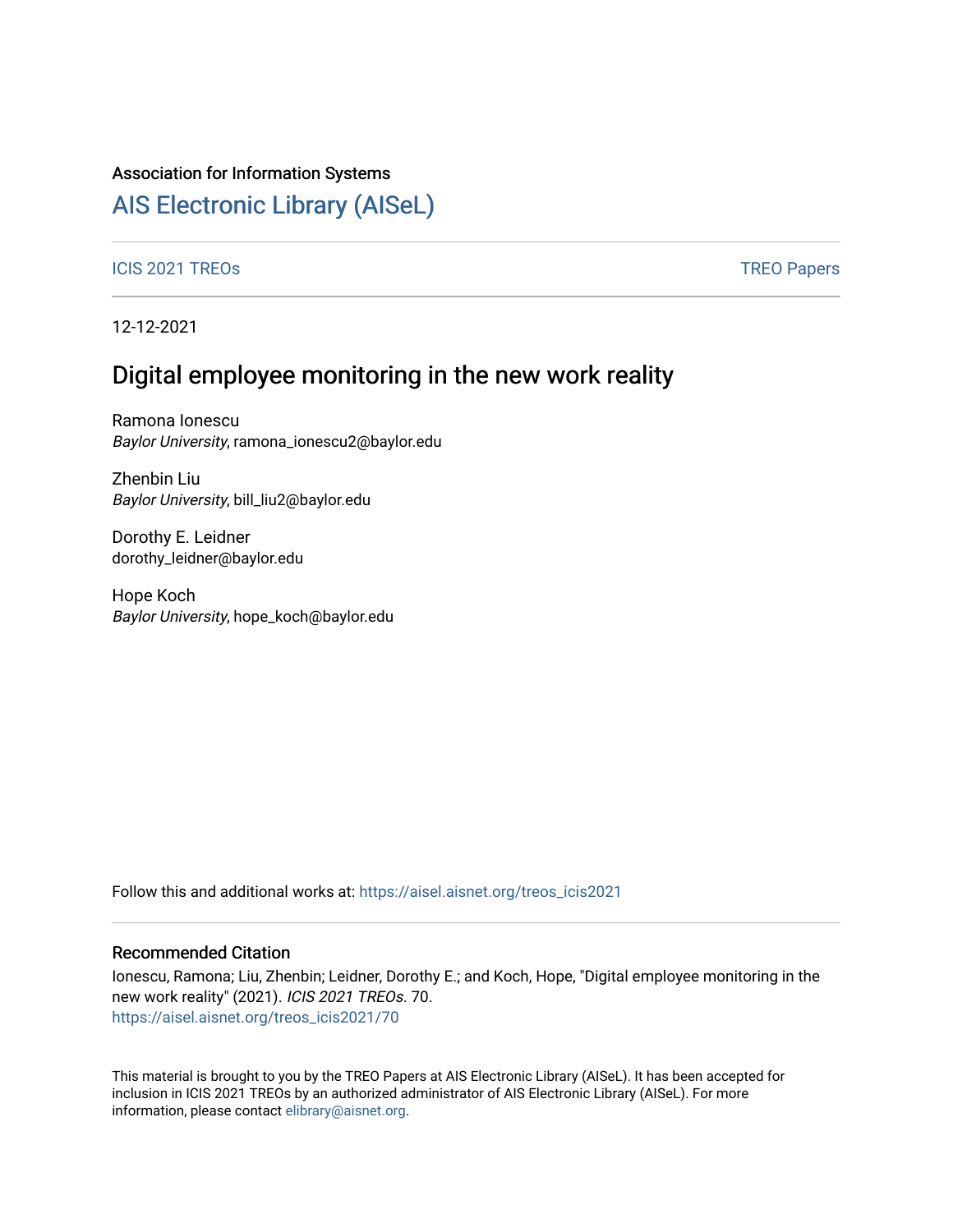### Association for Information Systems

## [AIS Electronic Library \(AISeL\)](https://aisel.aisnet.org/)

#### ICIS 2021 TREOS Notes that the contract of the contract of the contract of the contract of the contract of the contract of the contract of the contract of the contract of the contract of the contract of the contract of the

12-12-2021

# Digital employee monitoring in the new work reality

Ramona Ionescu Baylor University, ramona\_ionescu2@baylor.edu

Zhenbin Liu Baylor University, bill\_liu2@baylor.edu

Dorothy E. Leidner dorothy\_leidner@baylor.edu

Hope Koch Baylor University, hope\_koch@baylor.edu

Follow this and additional works at: [https://aisel.aisnet.org/treos\\_icis2021](https://aisel.aisnet.org/treos_icis2021?utm_source=aisel.aisnet.org%2Ftreos_icis2021%2F70&utm_medium=PDF&utm_campaign=PDFCoverPages) 

#### Recommended Citation

Ionescu, Ramona; Liu, Zhenbin; Leidner, Dorothy E.; and Koch, Hope, "Digital employee monitoring in the new work reality" (2021). ICIS 2021 TREOs. 70. [https://aisel.aisnet.org/treos\\_icis2021/70](https://aisel.aisnet.org/treos_icis2021/70?utm_source=aisel.aisnet.org%2Ftreos_icis2021%2F70&utm_medium=PDF&utm_campaign=PDFCoverPages) 

This material is brought to you by the TREO Papers at AIS Electronic Library (AISeL). It has been accepted for inclusion in ICIS 2021 TREOs by an authorized administrator of AIS Electronic Library (AISeL). For more information, please contact [elibrary@aisnet.org.](mailto:elibrary@aisnet.org%3E)